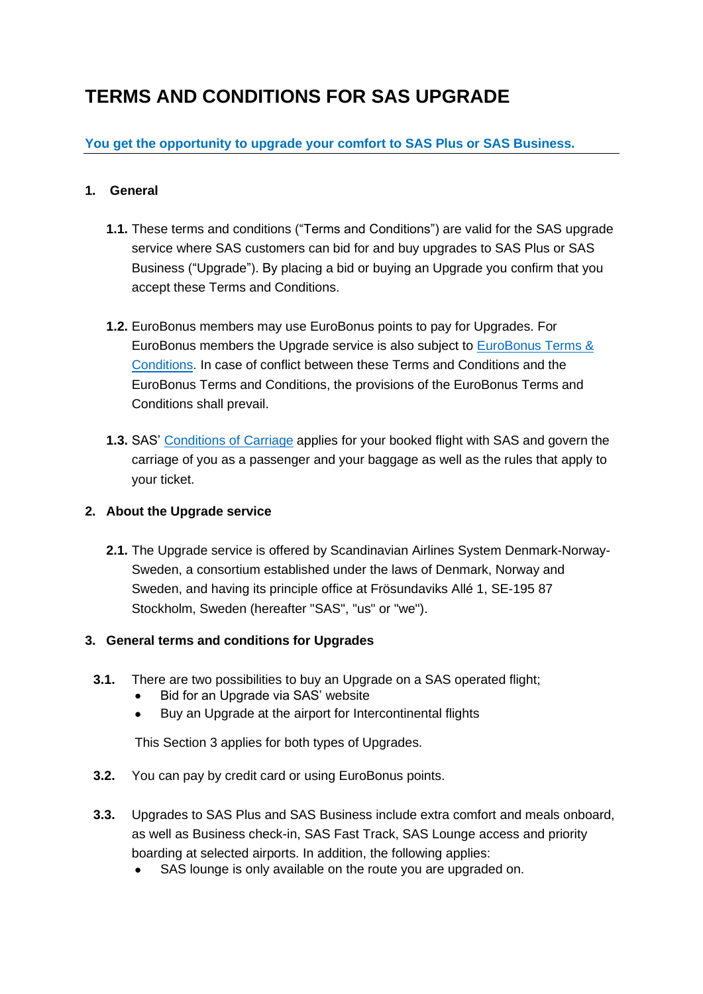# **TERMS AND CONDITIONS FOR SAS UPGRADE**

# **You get the opportunity to upgrade your comfort to SAS Plus or SAS Business.**

# **1. General**

- **1.1.** These terms and conditions ("Terms and Conditions") are valid for the SAS upgrade service where SAS customers can bid for and buy upgrades to SAS Plus or SAS Business ("Upgrade"). By placing a bid or buying an Upgrade you confirm that you accept these Terms and Conditions.
- **1.2.** EuroBonus members may use EuroBonus points to pay for Upgrades. For EuroBonus members the Upgrade service is also subject to [EuroBonus](https://www.flysas.com/gb-en/legal-info/eurobonus/eurobonus-terms-and-conditions-2/) Terms & [Conditions.](https://www.flysas.com/gb-en/legal-info/eurobonus/eurobonus-terms-and-conditions-2/) In case of conflict between these Terms and Conditions and the EuroBonus Terms and Conditions, the provisions of the EuroBonus Terms and Conditions shall prevail.
- **1.3.** SAS' [Conditions](https://www.flysas.com/en/legal-info/conditions-of-carriage/) of Carriage applies for your booked flight with SAS and govern the carriage of you as a passenger and your baggage as well as the rules that apply to your ticket.

# **2. About the Upgrade service**

**2.1.** The Upgrade service is offered by Scandinavian Airlines System Denmark-Norway-Sweden, a consortium established under the laws of Denmark, Norway and Sweden, and having its principle office at Frösundaviks Allé 1, SE-195 87 Stockholm, Sweden (hereafter "SAS", "us" or "we").

# **3. General terms and conditions for Upgrades**

- **3.1.** There are two possibilities to buy an Upgrade on a SAS operated flight;
	- Bid for an Upgrade via SAS' website
	- Buy an Upgrade at the airport for Intercontinental flights

This Section 3 applies for both types of Upgrades.

- **3.2.** You can pay by credit card or using EuroBonus points.
- **3.3.** Upgrades to SAS Plus and SAS Business include extra comfort and meals onboard, as well as Business check-in, SAS Fast Track, SAS Lounge access and priority boarding at selected airports. In addition, the following applies:
	- SAS lounge is only available on the route you are upgraded on.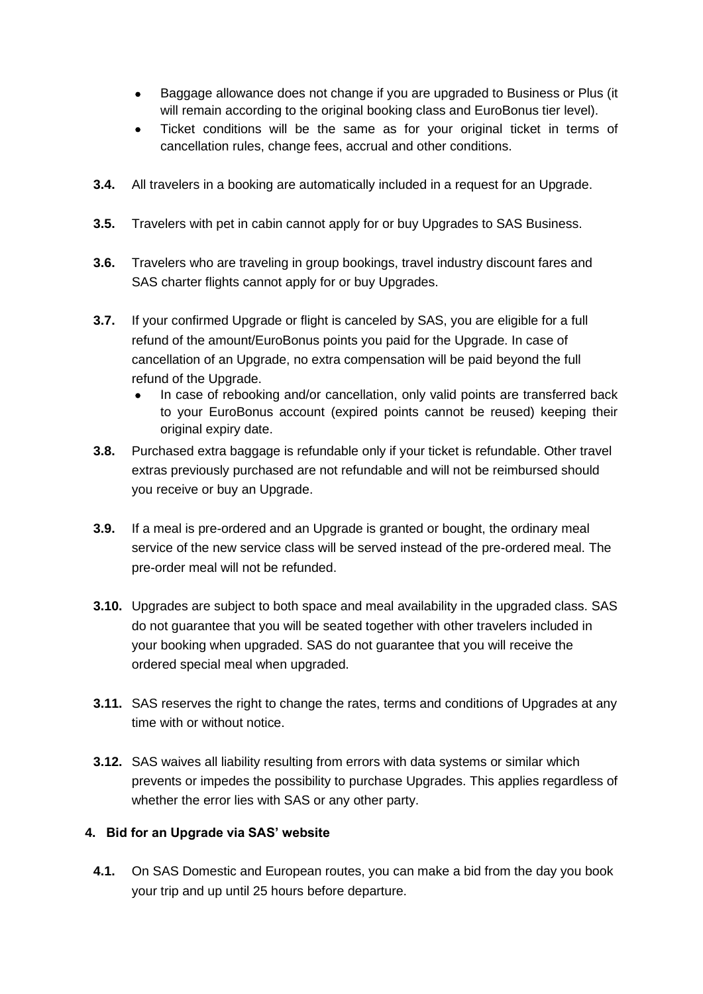- Baggage allowance does not change if you are upgraded to Business or Plus (it will remain according to the original booking class and EuroBonus tier level).
- Ticket conditions will be the same as for your original ticket in terms of cancellation rules, change fees, accrual and other conditions.
- **3.4.** All travelers in a booking are automatically included in a request for an Upgrade.
- **3.5.** Travelers with pet in cabin cannot apply for or buy Upgrades to SAS Business.
- **3.6.** Travelers who are traveling in group bookings, travel industry discount fares and SAS charter flights cannot apply for or buy Upgrades.
- **3.7.** If your confirmed Upgrade or flight is canceled by SAS, you are eligible for a full refund of the amount/EuroBonus points you paid for the Upgrade. In case of cancellation of an Upgrade, no extra compensation will be paid beyond the full refund of the Upgrade.
	- In case of rebooking and/or cancellation, only valid points are transferred back to your EuroBonus account (expired points cannot be reused) keeping their original expiry date.
- **3.8.** Purchased extra baggage is refundable only if your ticket is refundable. Other travel extras previously purchased are not refundable and will not be reimbursed should you receive or buy an Upgrade.
- **3.9.** If a meal is pre-ordered and an Upgrade is granted or bought, the ordinary meal service of the new service class will be served instead of the pre-ordered meal. The pre-order meal will not be refunded.
- **3.10.** Upgrades are subject to both space and meal availability in the upgraded class. SAS do not guarantee that you will be seated together with other travelers included in your booking when upgraded. SAS do not guarantee that you will receive the ordered special meal when upgraded.
- **3.11.** SAS reserves the right to change the rates, terms and conditions of Upgrades at any time with or without notice.
- **3.12.** SAS waives all liability resulting from errors with data systems or similar which prevents or impedes the possibility to purchase Upgrades. This applies regardless of whether the error lies with SAS or any other party.

# **4. Bid for an Upgrade via SAS' website**

**4.1.** On SAS Domestic and European routes, you can make a bid from the day you book your trip and up until 25 hours before departure.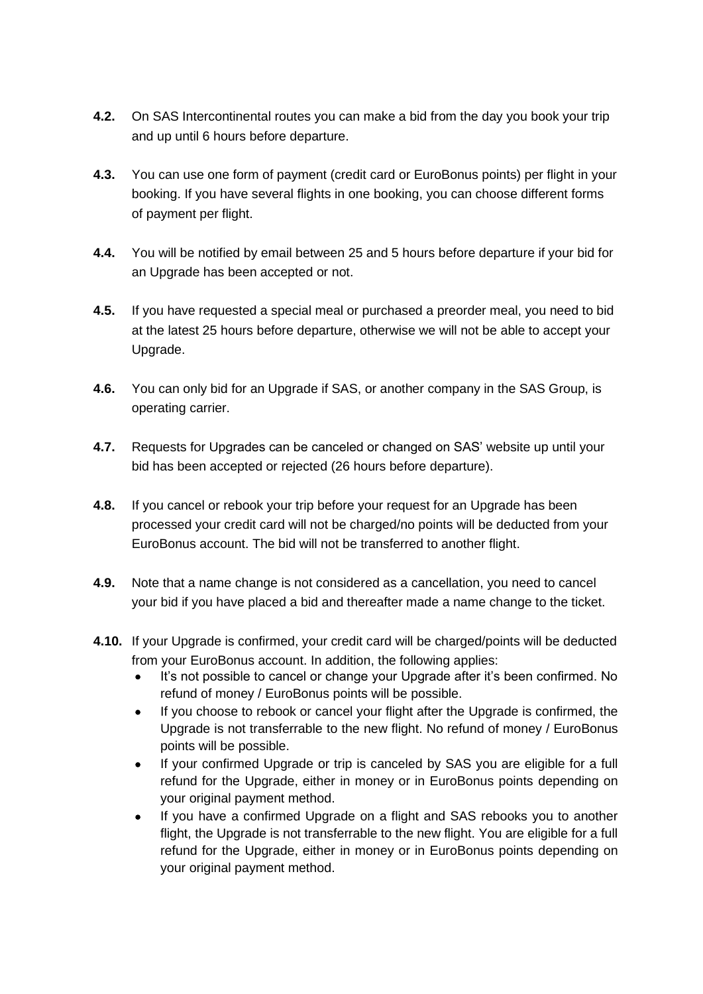- **4.2.** On SAS Intercontinental routes you can make a bid from the day you book your trip and up until 6 hours before departure.
- **4.3.** You can use one form of payment (credit card or EuroBonus points) per flight in your booking. If you have several flights in one booking, you can choose different forms of payment per flight.
- **4.4.** You will be notified by email between 25 and 5 hours before departure if your bid for an Upgrade has been accepted or not.
- **4.5.** If you have requested a special meal or purchased a preorder meal, you need to bid at the latest 25 hours before departure, otherwise we will not be able to accept your Upgrade.
- **4.6.** You can only bid for an Upgrade if SAS, or another company in the SAS Group, is operating carrier.
- **4.7.** Requests for Upgrades can be canceled or changed on SAS' website up until your bid has been accepted or rejected (26 hours before departure).
- **4.8.** If you cancel or rebook your trip before your request for an Upgrade has been processed your credit card will not be charged/no points will be deducted from your EuroBonus account. The bid will not be transferred to another flight.
- **4.9.** Note that a name change is not considered as a cancellation, you need to cancel your bid if you have placed a bid and thereafter made a name change to the ticket.
- **4.10.** If your Upgrade is confirmed, your credit card will be charged/points will be deducted from your EuroBonus account. In addition, the following applies:
	- It's not possible to cancel or change your Upgrade after it's been confirmed. No refund of money / EuroBonus points will be possible.
	- If you choose to rebook or cancel your flight after the Upgrade is confirmed, the Upgrade is not transferrable to the new flight. No refund of money / EuroBonus points will be possible.
	- If your confirmed Upgrade or trip is canceled by SAS you are eligible for a full refund for the Upgrade, either in money or in EuroBonus points depending on your original payment method.
	- If you have a confirmed Upgrade on a flight and SAS rebooks you to another flight, the Upgrade is not transferrable to the new flight. You are eligible for a full refund for the Upgrade, either in money or in EuroBonus points depending on your original payment method.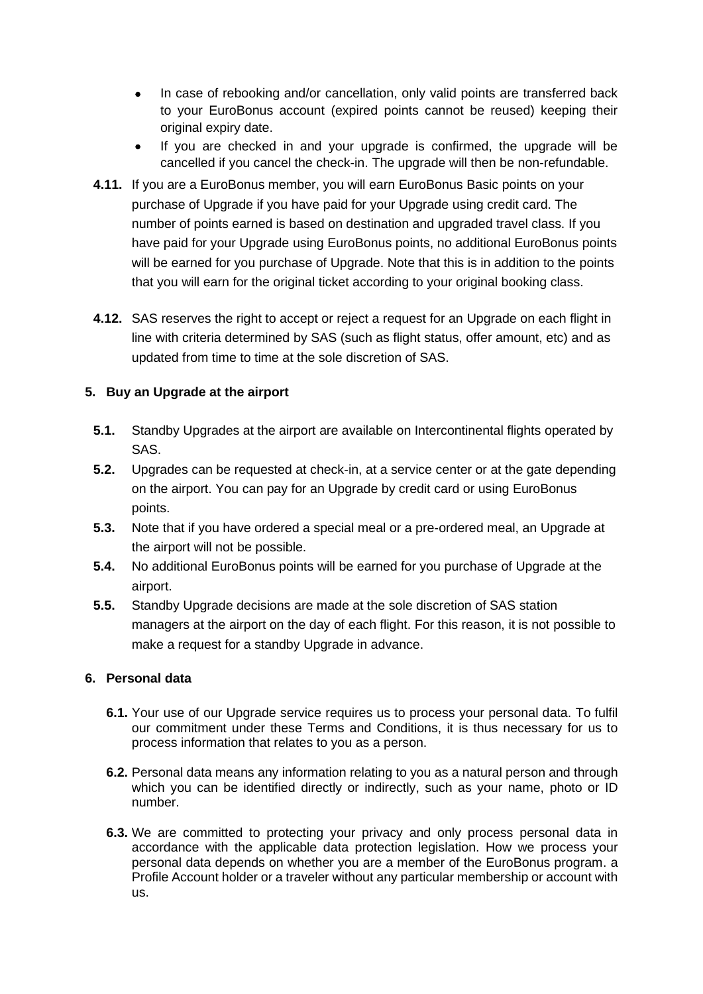- In case of rebooking and/or cancellation, only valid points are transferred back to your EuroBonus account (expired points cannot be reused) keeping their original expiry date.
- If you are checked in and your upgrade is confirmed, the upgrade will be cancelled if you cancel the check-in. The upgrade will then be non-refundable.
- **4.11.** If you are a EuroBonus member, you will earn EuroBonus Basic points on your purchase of Upgrade if you have paid for your Upgrade using credit card. The number of points earned is based on destination and upgraded travel class. If you have paid for your Upgrade using EuroBonus points, no additional EuroBonus points will be earned for you purchase of Upgrade. Note that this is in addition to the points that you will earn for the original ticket according to your original booking class.
- **4.12.** SAS reserves the right to accept or reject a request for an Upgrade on each flight in line with criteria determined by SAS (such as flight status, offer amount, etc) and as updated from time to time at the sole discretion of SAS.

# **5. Buy an Upgrade at the airport**

- **5.1.** Standby Upgrades at the airport are available on Intercontinental flights operated by SAS.
- **5.2.** Upgrades can be requested at check-in, at a service center or at the gate depending on the airport. You can pay for an Upgrade by credit card or using EuroBonus points.
- **5.3.** Note that if you have ordered a special meal or a pre-ordered meal, an Upgrade at the airport will not be possible.
- **5.4.** No additional EuroBonus points will be earned for you purchase of Upgrade at the airport.
- **5.5.** Standby Upgrade decisions are made at the sole discretion of SAS station managers at the airport on the day of each flight. For this reason, it is not possible to make a request for a standby Upgrade in advance.

# **6. Personal data**

- **6.1.** Your use of our Upgrade service requires us to process your personal data. To fulfil our commitment under these Terms and Conditions, it is thus necessary for us to process information that relates to you as a person.
- **6.2.** Personal data means any information relating to you as a natural person and through which you can be identified directly or indirectly, such as your name, photo or ID number.
- **6.3.** We are committed to protecting your privacy and only process personal data in accordance with the applicable data protection legislation. How we process your personal data depends on whether you are a member of the EuroBonus program. a Profile Account holder or a traveler without any particular membership or account with us.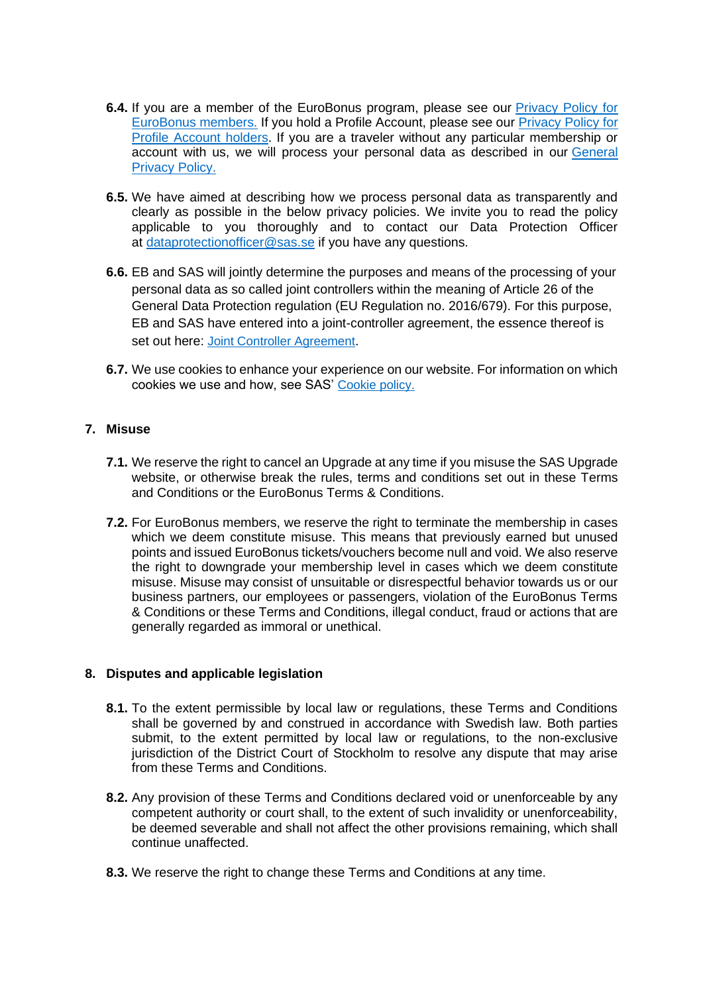- **6.4.** If you are a member of the EuroBonus program, please see our **[Privacy](https://www.flysas.com/gb-en/legal-info/privacy-policy/eurobonus-members/) Policy for** [EuroBonus](https://www.flysas.com/gb-en/legal-info/privacy-policy/eurobonus-members/) members. If you hold a Profile Account, please see our [Privacy](https://www.flysas.com/en/legal-info/privacy-policy/profile-account-holders/) Policy for Profile [Account](https://www.flysas.com/en/legal-info/privacy-policy/profile-account-holders/) holders. If you are a traveler without any particular membership or account with us, we will process your personal data as described in our [General](https://www.flysas.com/en/legal-info/privacy-policy/) [Privacy](https://www.flysas.com/en/legal-info/privacy-policy/) Policy.
- **6.5.** We have aimed at describing how we process personal data as transparently and clearly as possible in the below privacy policies. We invite you to read the policy applicable to you thoroughly and to contact our Data Protection Officer at [dataprotectionofficer@sas.se](mailto:dataprotectionofficer@sas.se) if you have any questions.
- **6.6.** EB and SAS will jointly determine the purposes and means of the processing of your personal data as so called joint controllers within the meaning of Article 26 of the General Data Protection regulation (EU Regulation no. 2016/679). For this purpose, EB and SAS have entered into a joint-controller agreement, the essence thereof is set out here: Joint Controller [Agreement](https://www.flysas.com/en/legal-info/eurobonus/joint-controller-arrangement/).
- **6.7.** We use cookies to enhance your experience on our website. For information on which cookies we use and how, see SAS' [Cookie](https://www.flysas.com/gb-en/legal-info/cookie-policy/) policy.

### **7. Misuse**

- **7.1.** We reserve the right to cancel an Upgrade at any time if you misuse the SAS Upgrade website, or otherwise break the rules, terms and conditions set out in these Terms and Conditions or the EuroBonus Terms & Conditions.
- **7.2.** For EuroBonus members, we reserve the right to terminate the membership in cases which we deem constitute misuse. This means that previously earned but unused points and issued EuroBonus tickets/vouchers become null and void. We also reserve the right to downgrade your membership level in cases which we deem constitute misuse. Misuse may consist of unsuitable or disrespectful behavior towards us or our business partners, our employees or passengers, violation of the EuroBonus Terms & Conditions or these Terms and Conditions, illegal conduct, fraud or actions that are generally regarded as immoral or unethical.

### **8. Disputes and applicable legislation**

- **8.1.** To the extent permissible by local law or regulations, these Terms and Conditions shall be governed by and construed in accordance with Swedish law. Both parties submit, to the extent permitted by local law or regulations, to the non-exclusive jurisdiction of the District Court of Stockholm to resolve any dispute that may arise from these Terms and Conditions.
- **8.2.** Any provision of these Terms and Conditions declared void or unenforceable by any competent authority or court shall, to the extent of such invalidity or unenforceability, be deemed severable and shall not affect the other provisions remaining, which shall continue unaffected.
- **8.3.** We reserve the right to change these Terms and Conditions at any time.